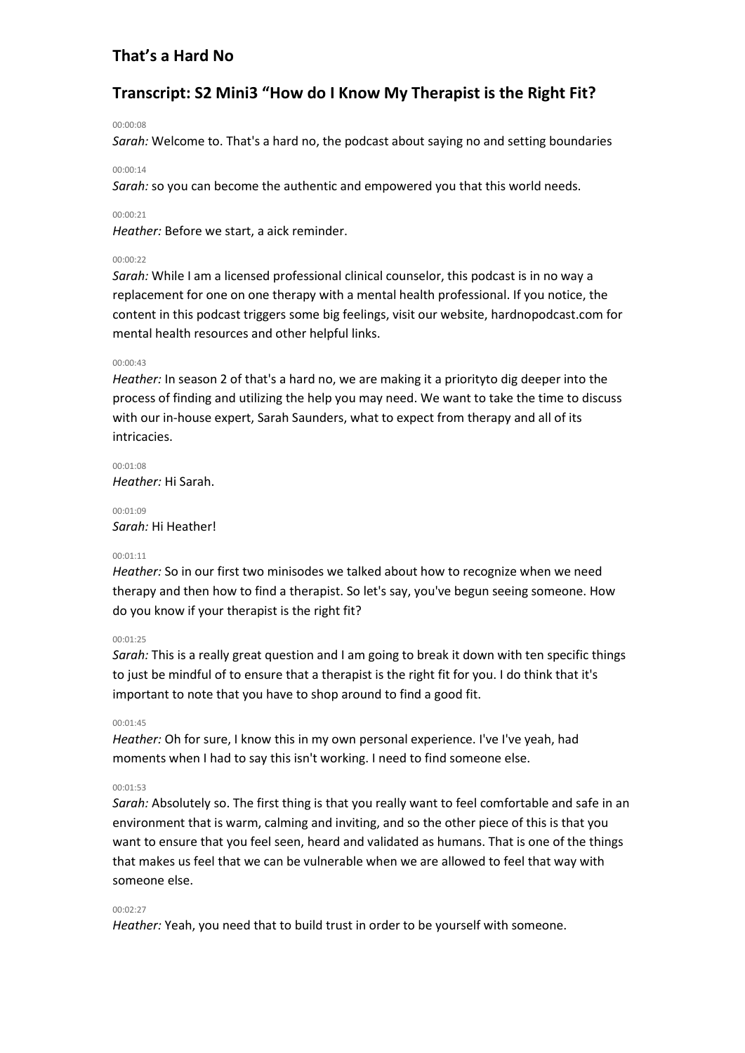# **Transcript: S2 Mini3 "How do I Know My Therapist is the Right Fit?**

### 00:00:08

*Sarah:* Welcome to. That's a hard no, the podcast about saying no and setting boundaries

#### 00:00:14

*Sarah:* so you can become the authentic and empowered you that this world needs.

### 00:00:21

*Heather:* Before we start, a aick reminder.

### 00:00:22

*Sarah:* While I am a licensed professional clinical counselor, this podcast is in no way a replacement for one on one therapy with a mental health professional. If you notice, the content in this podcast triggers some big feelings, visit our website, hardnopodcast.com for mental health resources and other helpful links.

## 00:00:43

*Heather:* In season 2 of that's a hard no, we are making it a priorityto dig deeper into the process of finding and utilizing the help you may need. We want to take the time to discuss with our in-house expert, Sarah Saunders, what to expect from therapy and all of its intricacies.

00:01:08 *Heather:* Hi Sarah.

00:01:09 *Sarah:* Hi Heather!

### $00:01:11$

*Heather:* So in our first two minisodes we talked about how to recognize when we need therapy and then how to find a therapist. So let's say, you've begun seeing someone. How do you know if your therapist is the right fit?

## 00:01:25

*Sarah:* This is a really great question and I am going to break it down with ten specific things to just be mindful of to ensure that a therapist is the right fit for you. I do think that it's important to note that you have to shop around to find a good fit.

### 00:01:45

*Heather:* Oh for sure, I know this in my own personal experience. I've I've yeah, had moments when I had to say this isn't working. I need to find someone else.

# 00:01:53

*Sarah:* Absolutely so. The first thing is that you really want to feel comfortable and safe in an environment that is warm, calming and inviting, and so the other piece of this is that you want to ensure that you feel seen, heard and validated as humans. That is one of the things that makes us feel that we can be vulnerable when we are allowed to feel that way with someone else.

#### 00:02:27

*Heather:* Yeah, you need that to build trust in order to be yourself with someone.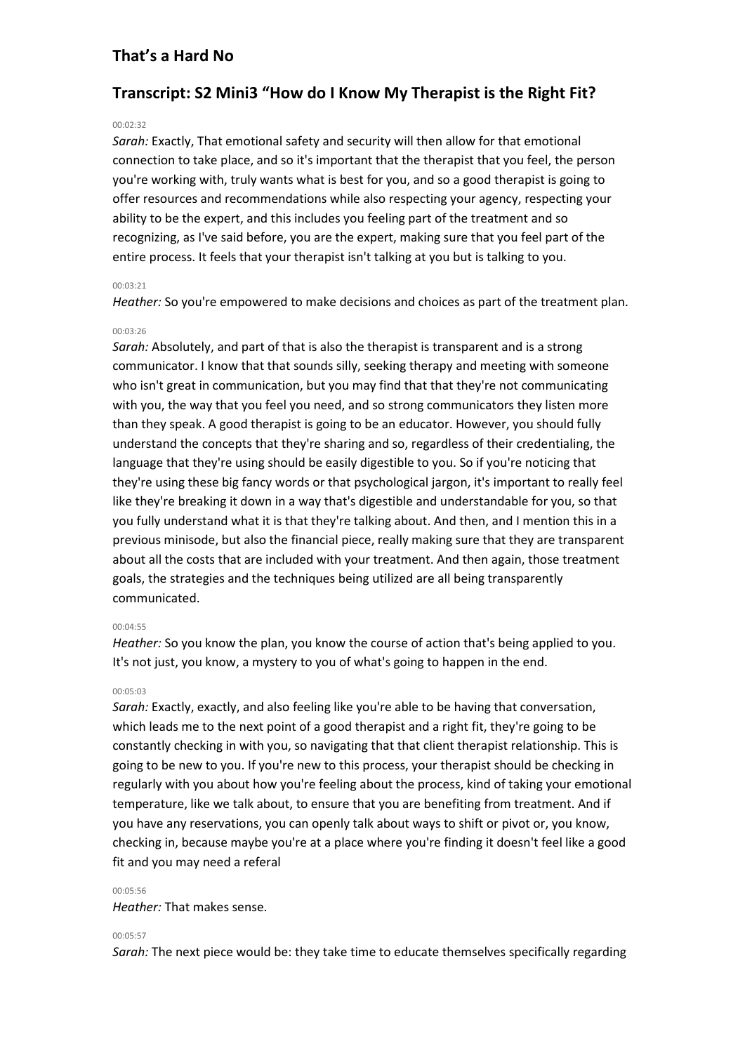# **Transcript: S2 Mini3 "How do I Know My Therapist is the Right Fit?**

#### 00:02:32

*Sarah:* Exactly, That emotional safety and security will then allow for that emotional connection to take place, and so it's important that the therapist that you feel, the person you're working with, truly wants what is best for you, and so a good therapist is going to offer resources and recommendations while also respecting your agency, respecting your ability to be the expert, and this includes you feeling part of the treatment and so recognizing, as I've said before, you are the expert, making sure that you feel part of the entire process. It feels that your therapist isn't talking at you but is talking to you.

## 00:03:21

*Heather:* So you're empowered to make decisions and choices as part of the treatment plan.

## 00:03:26

*Sarah:* Absolutely, and part of that is also the therapist is transparent and is a strong communicator. I know that that sounds silly, seeking therapy and meeting with someone who isn't great in communication, but you may find that that they're not communicating with you, the way that you feel you need, and so strong communicators they listen more than they speak. A good therapist is going to be an educator. However, you should fully understand the concepts that they're sharing and so, regardless of their credentialing, the language that they're using should be easily digestible to you. So if you're noticing that they're using these big fancy words or that psychological jargon, it's important to really feel like they're breaking it down in a way that's digestible and understandable for you, so that you fully understand what it is that they're talking about. And then, and I mention this in a previous minisode, but also the financial piece, really making sure that they are transparent about all the costs that are included with your treatment. And then again, those treatment goals, the strategies and the techniques being utilized are all being transparently communicated.

### 00:04:55

*Heather:* So you know the plan, you know the course of action that's being applied to you. It's not just, you know, a mystery to you of what's going to happen in the end.

#### 00:05:03

*Sarah:* Exactly, exactly, and also feeling like you're able to be having that conversation, which leads me to the next point of a good therapist and a right fit, they're going to be constantly checking in with you, so navigating that that client therapist relationship. This is going to be new to you. If you're new to this process, your therapist should be checking in regularly with you about how you're feeling about the process, kind of taking your emotional temperature, like we talk about, to ensure that you are benefiting from treatment. And if you have any reservations, you can openly talk about ways to shift or pivot or, you know, checking in, because maybe you're at a place where you're finding it doesn't feel like a good fit and you may need a referal

#### 00:05:56

### *Heather:* That makes sense.

#### 00:05:57

*Sarah:* The next piece would be: they take time to educate themselves specifically regarding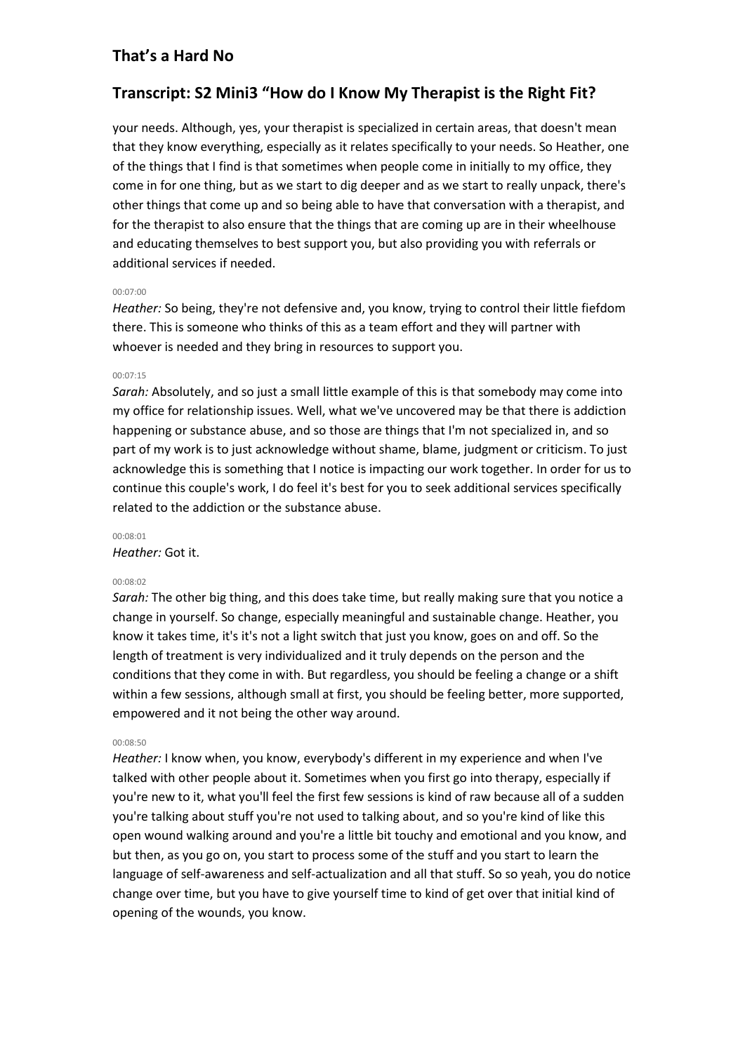# **Transcript: S2 Mini3 "How do I Know My Therapist is the Right Fit?**

your needs. Although, yes, your therapist is specialized in certain areas, that doesn't mean that they know everything, especially as it relates specifically to your needs. So Heather, one of the things that I find is that sometimes when people come in initially to my office, they come in for one thing, but as we start to dig deeper and as we start to really unpack, there's other things that come up and so being able to have that conversation with a therapist, and for the therapist to also ensure that the things that are coming up are in their wheelhouse and educating themselves to best support you, but also providing you with referrals or additional services if needed.

## 00:07:00

*Heather:* So being, they're not defensive and, you know, trying to control their little fiefdom there. This is someone who thinks of this as a team effort and they will partner with whoever is needed and they bring in resources to support you.

## 00:07:15

*Sarah:* Absolutely, and so just a small little example of this is that somebody may come into my office for relationship issues. Well, what we've uncovered may be that there is addiction happening or substance abuse, and so those are things that I'm not specialized in, and so part of my work is to just acknowledge without shame, blame, judgment or criticism. To just acknowledge this is something that I notice is impacting our work together. In order for us to continue this couple's work, I do feel it's best for you to seek additional services specifically related to the addiction or the substance abuse.

# 00:08:01

*Heather:* Got it.

### 00:08:02

*Sarah:* The other big thing, and this does take time, but really making sure that you notice a change in yourself. So change, especially meaningful and sustainable change. Heather, you know it takes time, it's it's not a light switch that just you know, goes on and off. So the length of treatment is very individualized and it truly depends on the person and the conditions that they come in with. But regardless, you should be feeling a change or a shift within a few sessions, although small at first, you should be feeling better, more supported, empowered and it not being the other way around.

### 00:08:50

*Heather:* I know when, you know, everybody's different in my experience and when I've talked with other people about it. Sometimes when you first go into therapy, especially if you're new to it, what you'll feel the first few sessions is kind of raw because all of a sudden you're talking about stuff you're not used to talking about, and so you're kind of like this open wound walking around and you're a little bit touchy and emotional and you know, and but then, as you go on, you start to process some of the stuff and you start to learn the language of self-awareness and self-actualization and all that stuff. So so yeah, you do notice change over time, but you have to give yourself time to kind of get over that initial kind of opening of the wounds, you know.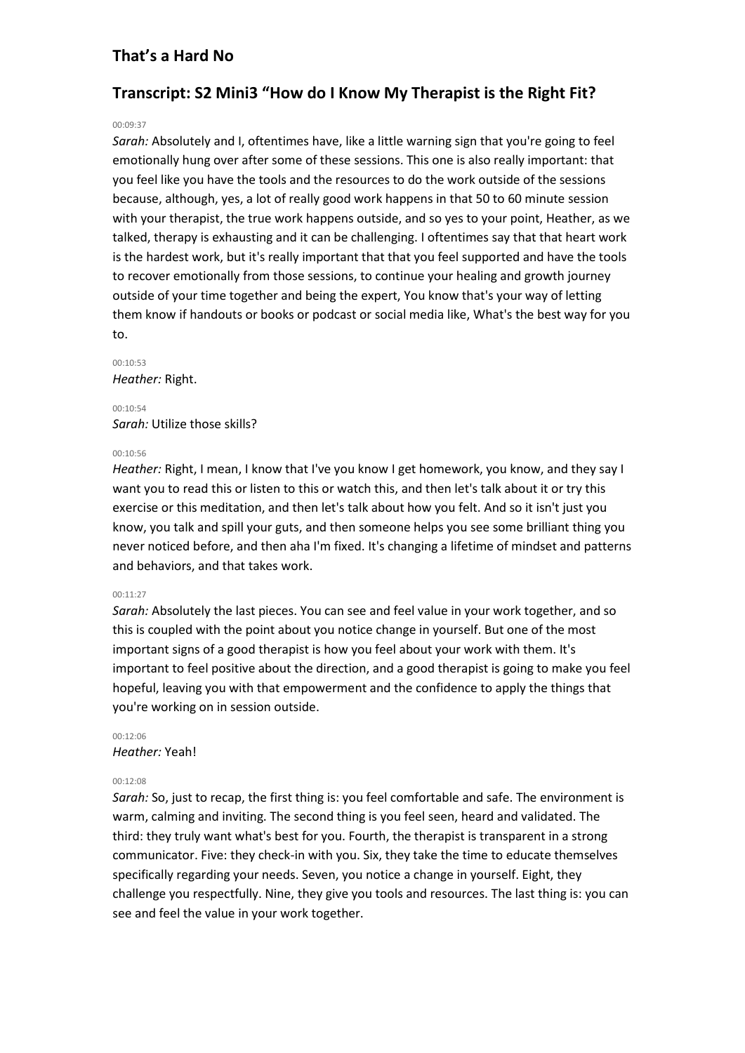# **Transcript: S2 Mini3 "How do I Know My Therapist is the Right Fit?**

### 00:09:37

*Sarah:* Absolutely and I, oftentimes have, like a little warning sign that you're going to feel emotionally hung over after some of these sessions. This one is also really important: that you feel like you have the tools and the resources to do the work outside of the sessions because, although, yes, a lot of really good work happens in that 50 to 60 minute session with your therapist, the true work happens outside, and so yes to your point, Heather, as we talked, therapy is exhausting and it can be challenging. I oftentimes say that that heart work is the hardest work, but it's really important that that you feel supported and have the tools to recover emotionally from those sessions, to continue your healing and growth journey outside of your time together and being the expert, You know that's your way of letting them know if handouts or books or podcast or social media like, What's the best way for you to.

00:10:53 *Heather:* Right.

00:10:54 *Sarah:* Utilize those skills?

#### 00:10:56

*Heather:* Right, I mean, I know that I've you know I get homework, you know, and they say I want you to read this or listen to this or watch this, and then let's talk about it or try this exercise or this meditation, and then let's talk about how you felt. And so it isn't just you know, you talk and spill your guts, and then someone helps you see some brilliant thing you never noticed before, and then aha I'm fixed. It's changing a lifetime of mindset and patterns and behaviors, and that takes work.

#### 00:11:27

*Sarah:* Absolutely the last pieces. You can see and feel value in your work together, and so this is coupled with the point about you notice change in yourself. But one of the most important signs of a good therapist is how you feel about your work with them. It's important to feel positive about the direction, and a good therapist is going to make you feel hopeful, leaving you with that empowerment and the confidence to apply the things that you're working on in session outside.

# 00:12:06 *Heather:* Yeah!

#### 00:12:08

*Sarah:* So, just to recap, the first thing is: you feel comfortable and safe. The environment is warm, calming and inviting. The second thing is you feel seen, heard and validated. The third: they truly want what's best for you. Fourth, the therapist is transparent in a strong communicator. Five: they check-in with you. Six, they take the time to educate themselves specifically regarding your needs. Seven, you notice a change in yourself. Eight, they challenge you respectfully. Nine, they give you tools and resources. The last thing is: you can see and feel the value in your work together.